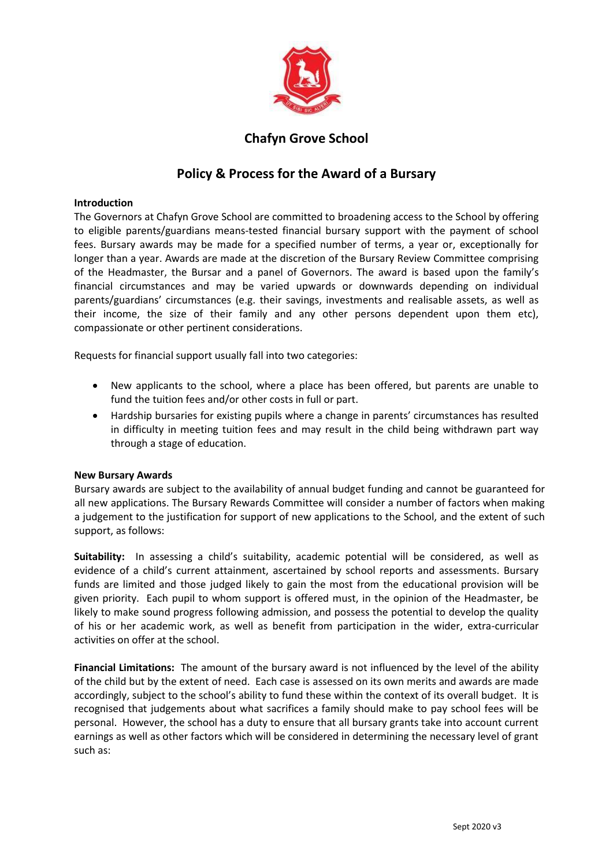

## **Chafyn Grove School**

# **Policy & Process for the Award of a Bursary**

## **Introduction**

The Governors at Chafyn Grove School are committed to broadening access to the School by offering to eligible parents/guardians means-tested financial bursary support with the payment of school fees. Bursary awards may be made for a specified number of terms, a year or, exceptionally for longer than a year. Awards are made at the discretion of the Bursary Review Committee comprising of the Headmaster, the Bursar and a panel of Governors. The award is based upon the family's financial circumstances and may be varied upwards or downwards depending on individual parents/guardians' circumstances (e.g. their savings, investments and realisable assets, as well as their income, the size of their family and any other persons dependent upon them etc), compassionate or other pertinent considerations.

Requests for financial support usually fall into two categories:

- New applicants to the school, where a place has been offered, but parents are unable to fund the tuition fees and/or other costs in full or part.
- Hardship bursaries for existing pupils where a change in parents' circumstances has resulted in difficulty in meeting tuition fees and may result in the child being withdrawn part way through a stage of education.

## **New Bursary Awards**

Bursary awards are subject to the availability of annual budget funding and cannot be guaranteed for all new applications. The Bursary Rewards Committee will consider a number of factors when making a judgement to the justification for support of new applications to the School, and the extent of such support, as follows:

**Suitability:** In assessing a child's suitability, academic potential will be considered, as well as evidence of a child's current attainment, ascertained by school reports and assessments. Bursary funds are limited and those judged likely to gain the most from the educational provision will be given priority. Each pupil to whom support is offered must, in the opinion of the Headmaster, be likely to make sound progress following admission, and possess the potential to develop the quality of his or her academic work, as well as benefit from participation in the wider, extra-curricular activities on offer at the school.

**Financial Limitations:** The amount of the bursary award is not influenced by the level of the ability of the child but by the extent of need. Each case is assessed on its own merits and awards are made accordingly, subject to the school's ability to fund these within the context of its overall budget. It is recognised that judgements about what sacrifices a family should make to pay school fees will be personal. However, the school has a duty to ensure that all bursary grants take into account current earnings as well as other factors which will be considered in determining the necessary level of grant such as: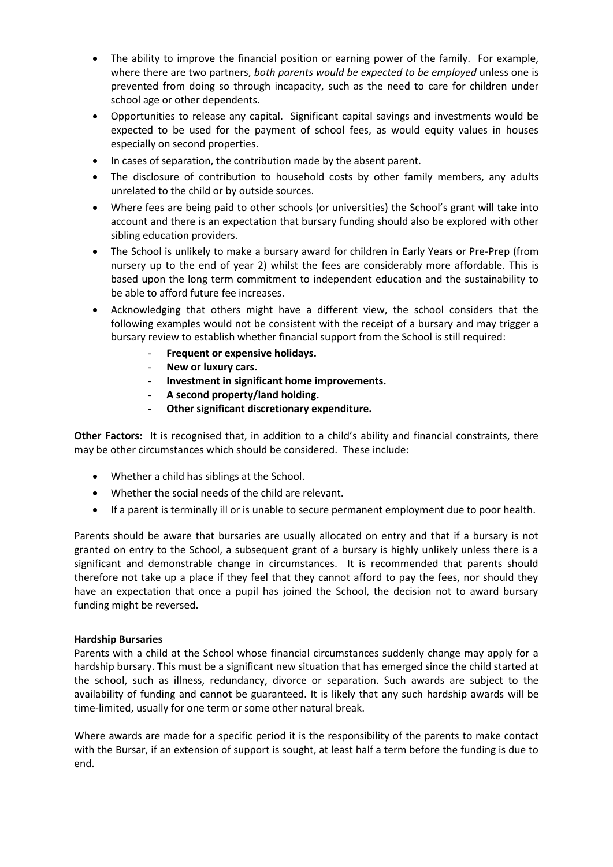- The ability to improve the financial position or earning power of the family. For example, where there are two partners, *both parents would be expected to be employed* unless one is prevented from doing so through incapacity, such as the need to care for children under school age or other dependents.
- Opportunities to release any capital. Significant capital savings and investments would be expected to be used for the payment of school fees, as would equity values in houses especially on second properties.
- In cases of separation, the contribution made by the absent parent.
- The disclosure of contribution to household costs by other family members, any adults unrelated to the child or by outside sources.
- Where fees are being paid to other schools (or universities) the School's grant will take into account and there is an expectation that bursary funding should also be explored with other sibling education providers.
- The School is unlikely to make a bursary award for children in Early Years or Pre-Prep (from nursery up to the end of year 2) whilst the fees are considerably more affordable. This is based upon the long term commitment to independent education and the sustainability to be able to afford future fee increases.
- Acknowledging that others might have a different view, the school considers that the following examples would not be consistent with the receipt of a bursary and may trigger a bursary review to establish whether financial support from the School is still required:
	- **Frequent or expensive holidays.**
	- **New or luxury cars.**
	- **Investment in significant home improvements.**
	- **A second property/land holding.**
	- **Other significant discretionary expenditure.**

**Other Factors:** It is recognised that, in addition to a child's ability and financial constraints, there may be other circumstances which should be considered. These include:

- Whether a child has siblings at the School.
- Whether the social needs of the child are relevant.
- If a parent is terminally ill or is unable to secure permanent employment due to poor health.

Parents should be aware that bursaries are usually allocated on entry and that if a bursary is not granted on entry to the School, a subsequent grant of a bursary is highly unlikely unless there is a significant and demonstrable change in circumstances. It is recommended that parents should therefore not take up a place if they feel that they cannot afford to pay the fees, nor should they have an expectation that once a pupil has joined the School, the decision not to award bursary funding might be reversed.

## **Hardship Bursaries**

Parents with a child at the School whose financial circumstances suddenly change may apply for a hardship bursary. This must be a significant new situation that has emerged since the child started at the school, such as illness, redundancy, divorce or separation. Such awards are subject to the availability of funding and cannot be guaranteed. It is likely that any such hardship awards will be time-limited, usually for one term or some other natural break.

Where awards are made for a specific period it is the responsibility of the parents to make contact with the Bursar, if an extension of support is sought, at least half a term before the funding is due to end.